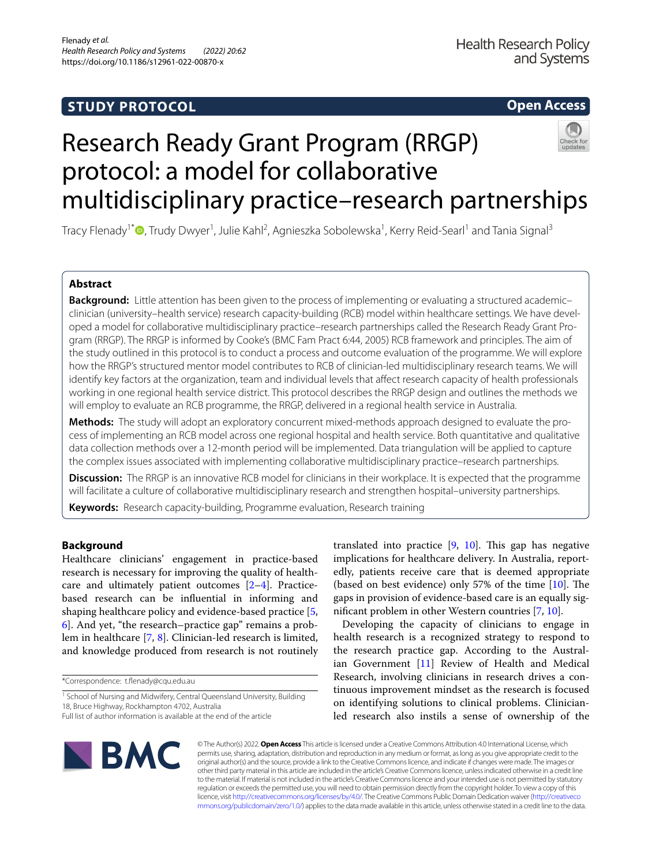# **STUDY PROTOCOL**

## **Open Access**

# Research Ready Grant Program (RRGP) protocol: a model for collaborative multidisciplinary practice–research partnerships



Tracy Flenady<sup>1[\\*](http://orcid.org/0000-0002-5286-4789)</sup>®, Trudy Dwyer<sup>1</sup>, Julie Kahl<sup>2</sup>, Agnieszka Sobolewska<sup>1</sup>, Kerry Reid-Searl<sup>1</sup> and Tania Signal<sup>3</sup>

## **Abstract**

**Background:** Little attention has been given to the process of implementing or evaluating a structured academic– clinician (university–health service) research capacity-building (RCB) model within healthcare settings. We have developed a model for collaborative multidisciplinary practice–research partnerships called the Research Ready Grant Program (RRGP). The RRGP is informed by Cooke's (BMC Fam Pract 6:44, 2005) RCB framework and principles. The aim of the study outlined in this protocol is to conduct a process and outcome evaluation of the programme. We will explore how the RRGP's structured mentor model contributes to RCB of clinician-led multidisciplinary research teams. We will identify key factors at the organization, team and individual levels that afect research capacity of health professionals working in one regional health service district. This protocol describes the RRGP design and outlines the methods we will employ to evaluate an RCB programme, the RRGP, delivered in a regional health service in Australia.

Methods: The study will adopt an exploratory concurrent mixed-methods approach designed to evaluate the process of implementing an RCB model across one regional hospital and health service. Both quantitative and qualitative data collection methods over a 12-month period will be implemented. Data triangulation will be applied to capture the complex issues associated with implementing collaborative multidisciplinary practice–research partnerships.

**Discussion:** The RRGP is an innovative RCB model for clinicians in their workplace. It is expected that the programme will facilitate a culture of collaborative multidisciplinary research and strengthen hospital–university partnerships.

**Keywords:** Research capacity-building, Programme evaluation, Research training

## **Background**

Healthcare clinicians' engagement in practice-based research is necessary for improving the quality of healthcare and ultimately patient outcomes [[2](#page-10-0)[–4](#page-10-1)]. Practicebased research can be infuential in informing and shaping healthcare policy and evidence-based practice [\[5](#page-10-2), [6\]](#page-10-3). And yet, "the research–practice gap" remains a problem in healthcare [[7,](#page-10-4) [8\]](#page-10-5). Clinician-led research is limited, and knowledge produced from research is not routinely

<sup>1</sup> School of Nursing and Midwifery, Central Queensland University, Building 18, Bruce Highway, Rockhampton 4702, Australia

translated into practice  $[9, 10]$  $[9, 10]$  $[9, 10]$  $[9, 10]$ . This gap has negative implications for healthcare delivery. In Australia, reportedly, patients receive care that is deemed appropriate (based on best evidence) only 57% of the time  $[10]$  $[10]$ . The gaps in provision of evidence-based care is an equally signifcant problem in other Western countries [\[7](#page-10-4), [10](#page-10-7)].

Developing the capacity of clinicians to engage in health research is a recognized strategy to respond to the research practice gap. According to the Australian Government [[11\]](#page-10-8) Review of Health and Medical Research, involving clinicians in research drives a continuous improvement mindset as the research is focused on identifying solutions to clinical problems. Clinicianled research also instils a sense of ownership of the



© The Author(s) 2022. **Open Access** This article is licensed under a Creative Commons Attribution 4.0 International License, which permits use, sharing, adaptation, distribution and reproduction in any medium or format, as long as you give appropriate credit to the original author(s) and the source, provide a link to the Creative Commons licence, and indicate if changes were made. The images or other third party material in this article are included in the article's Creative Commons licence, unless indicated otherwise in a credit line to the material. If material is not included in the article's Creative Commons licence and your intended use is not permitted by statutory regulation or exceeds the permitted use, you will need to obtain permission directly from the copyright holder. To view a copy of this licence, visit [http://creativecommons.org/licenses/by/4.0/.](http://creativecommons.org/licenses/by/4.0/) The Creative Commons Public Domain Dedication waiver ([http://creativeco](http://creativecommons.org/publicdomain/zero/1.0/) [mmons.org/publicdomain/zero/1.0/](http://creativecommons.org/publicdomain/zero/1.0/)) applies to the data made available in this article, unless otherwise stated in a credit line to the data.

<sup>\*</sup>Correspondence: t.fenady@cqu.edu.au

Full list of author information is available at the end of the article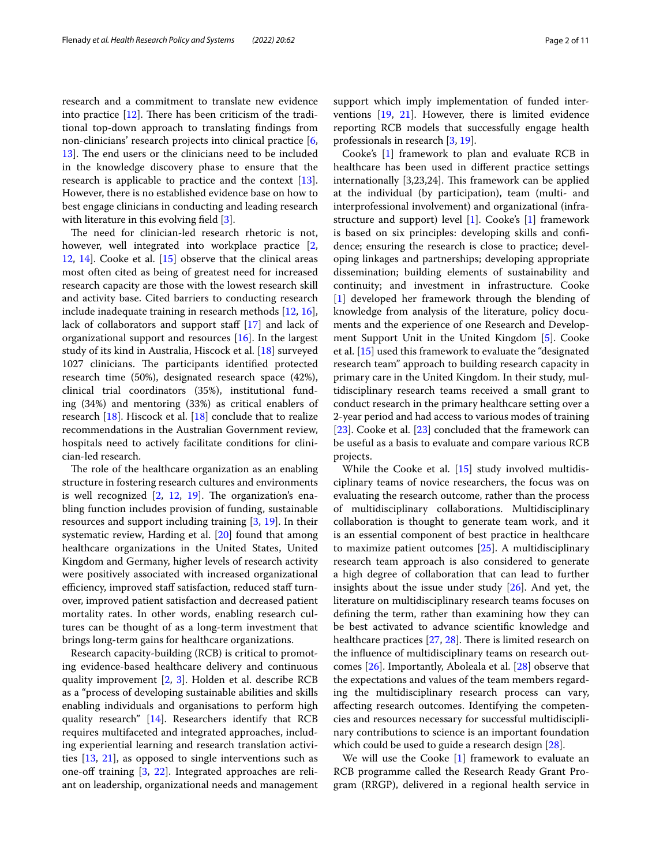research and a commitment to translate new evidence into practice  $[12]$  $[12]$ . There has been criticism of the traditional top-down approach to translating fndings from non-clinicians' research projects into clinical practice [\[6](#page-10-3), [13\]](#page-10-10). The end users or the clinicians need to be included in the knowledge discovery phase to ensure that the research is applicable to practice and the context [\[13](#page-10-10)]. However, there is no established evidence base on how to best engage clinicians in conducting and leading research with literature in this evolving field [[3\]](#page-10-11).

The need for clinician-led research rhetoric is not, however, well integrated into workplace practice [\[2](#page-10-0), [12,](#page-10-9) [14](#page-10-12)]. Cooke et al. [\[15](#page-10-13)] observe that the clinical areas most often cited as being of greatest need for increased research capacity are those with the lowest research skill and activity base. Cited barriers to conducting research include inadequate training in research methods [[12,](#page-10-9) [16](#page-10-14)], lack of collaborators and support staff [\[17\]](#page-10-15) and lack of organizational support and resources [\[16\]](#page-10-14). In the largest study of its kind in Australia, Hiscock et al. [\[18](#page-10-16)] surveyed 1027 clinicians. The participants identified protected research time (50%), designated research space (42%), clinical trial coordinators (35%), institutional funding (34%) and mentoring (33%) as critical enablers of research [\[18](#page-10-16)]. Hiscock et al. [[18](#page-10-16)] conclude that to realize recommendations in the Australian Government review, hospitals need to actively facilitate conditions for clinician-led research.

The role of the healthcare organization as an enabling structure in fostering research cultures and environments is well recognized  $[2, 12, 19]$  $[2, 12, 19]$  $[2, 12, 19]$  $[2, 12, 19]$  $[2, 12, 19]$ . The organization's enabling function includes provision of funding, sustainable resources and support including training [\[3](#page-10-11), [19](#page-10-17)]. In their systematic review, Harding et al. [\[20\]](#page-10-18) found that among healthcare organizations in the United States, United Kingdom and Germany, higher levels of research activity were positively associated with increased organizational efficiency, improved staff satisfaction, reduced staff turnover, improved patient satisfaction and decreased patient mortality rates. In other words, enabling research cultures can be thought of as a long-term investment that brings long-term gains for healthcare organizations.

Research capacity-building (RCB) is critical to promoting evidence-based healthcare delivery and continuous quality improvement [\[2](#page-10-0), [3](#page-10-11)]. Holden et al. describe RCB as a "process of developing sustainable abilities and skills enabling individuals and organisations to perform high quality research" [\[14\]](#page-10-12). Researchers identify that RCB requires multifaceted and integrated approaches, including experiential learning and research translation activities  $[13, 21]$  $[13, 21]$  $[13, 21]$  $[13, 21]$  $[13, 21]$ , as opposed to single interventions such as one-off training  $[3, 22]$  $[3, 22]$  $[3, 22]$  $[3, 22]$ . Integrated approaches are reliant on leadership, organizational needs and management support which imply implementation of funded interventions [[19,](#page-10-17) [21](#page-10-19)]. However, there is limited evidence reporting RCB models that successfully engage health professionals in research [[3,](#page-10-11) [19\]](#page-10-17).

Cooke's [\[1\]](#page-9-0) framework to plan and evaluate RCB in healthcare has been used in diferent practice settings internationally  $[3,23,24]$ . This framework can be applied at the individual (by participation), team (multi- and interprofessional involvement) and organizational (infrastructure and support) level [\[1](#page-9-0)]. Cooke's [[1\]](#page-9-0) framework is based on six principles: developing skills and confdence; ensuring the research is close to practice; developing linkages and partnerships; developing appropriate dissemination; building elements of sustainability and continuity; and investment in infrastructure. Cooke [[1\]](#page-9-0) developed her framework through the blending of knowledge from analysis of the literature, policy documents and the experience of one Research and Development Support Unit in the United Kingdom [[5\]](#page-10-2). Cooke et al. [\[15](#page-10-13)] used this framework to evaluate the "designated research team" approach to building research capacity in primary care in the United Kingdom. In their study, multidisciplinary research teams received a small grant to conduct research in the primary healthcare setting over a 2-year period and had access to various modes of training [[23\]](#page-10-21). Cooke et al. [[23\]](#page-10-21) concluded that the framework can be useful as a basis to evaluate and compare various RCB projects.

While the Cooke et al. [[15\]](#page-10-13) study involved multidisciplinary teams of novice researchers, the focus was on evaluating the research outcome, rather than the process of multidisciplinary collaborations. Multidisciplinary collaboration is thought to generate team work, and it is an essential component of best practice in healthcare to maximize patient outcomes [\[25](#page-10-22)]. A multidisciplinary research team approach is also considered to generate a high degree of collaboration that can lead to further insights about the issue under study [\[26\]](#page-10-23). And yet, the literature on multidisciplinary research teams focuses on defning the term, rather than examining how they can be best activated to advance scientifc knowledge and healthcare practices  $[27, 28]$  $[27, 28]$  $[27, 28]$  $[27, 28]$ . There is limited research on the infuence of multidisciplinary teams on research outcomes [[26](#page-10-23)]. Importantly, Aboleala et al. [\[28](#page-10-25)] observe that the expectations and values of the team members regarding the multidisciplinary research process can vary, afecting research outcomes. Identifying the competencies and resources necessary for successful multidisciplinary contributions to science is an important foundation which could be used to guide a research design [\[28](#page-10-25)].

We will use the Cooke [[1\]](#page-9-0) framework to evaluate an RCB programme called the Research Ready Grant Program (RRGP), delivered in a regional health service in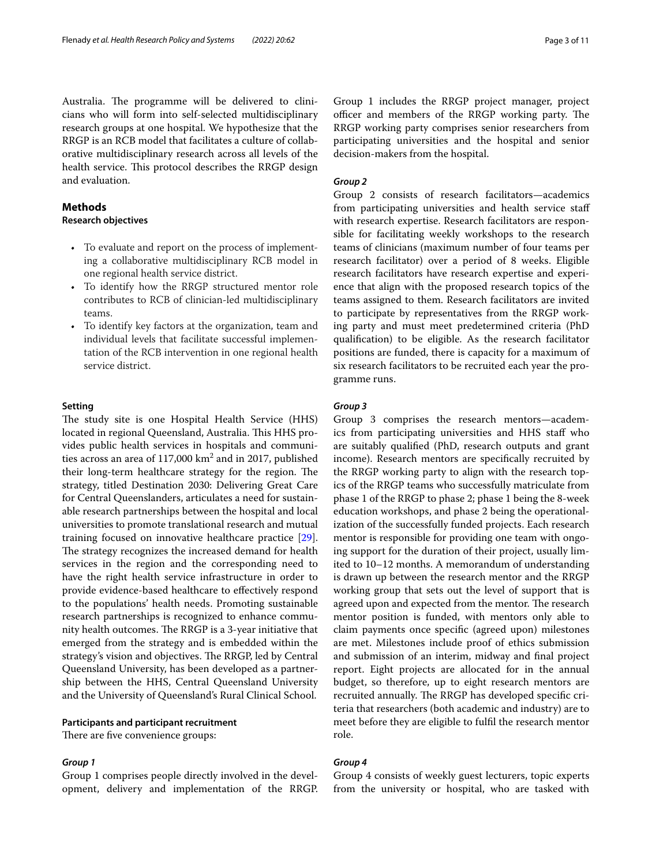Australia. The programme will be delivered to clinicians who will form into self-selected multidisciplinary research groups at one hospital. We hypothesize that the RRGP is an RCB model that facilitates a culture of collaborative multidisciplinary research across all levels of the health service. This protocol describes the RRGP design and evaluation.

## **Methods**

## **Research objectives**

- To evaluate and report on the process of implementing a collaborative multidisciplinary RCB model in one regional health service district.
- To identify how the RRGP structured mentor role contributes to RCB of clinician-led multidisciplinary teams.
- To identify key factors at the organization, team and individual levels that facilitate successful implementation of the RCB intervention in one regional health service district.

## **Setting**

The study site is one Hospital Health Service (HHS) located in regional Queensland, Australia. This HHS provides public health services in hospitals and communities across an area of  $117,000$  km<sup>2</sup> and in 2017, published their long-term healthcare strategy for the region. The strategy, titled Destination 2030: Delivering Great Care for Central Queenslanders, articulates a need for sustainable research partnerships between the hospital and local universities to promote translational research and mutual training focused on innovative healthcare practice [\[29](#page-10-26)]. The strategy recognizes the increased demand for health services in the region and the corresponding need to have the right health service infrastructure in order to provide evidence-based healthcare to efectively respond to the populations' health needs. Promoting sustainable research partnerships is recognized to enhance community health outcomes. The RRGP is a 3-year initiative that emerged from the strategy and is embedded within the strategy's vision and objectives. The RRGP, led by Central Queensland University, has been developed as a partnership between the HHS, Central Queensland University and the University of Queensland's Rural Clinical School.

## **Participants and participant recruitment**

There are five convenience groups:

#### *Group 1*

Group 1 comprises people directly involved in the development, delivery and implementation of the RRGP.

Group 1 includes the RRGP project manager, project officer and members of the RRGP working party. The RRGP working party comprises senior researchers from participating universities and the hospital and senior decision-makers from the hospital.

## *Group 2*

Group 2 consists of research facilitators—academics from participating universities and health service staff with research expertise. Research facilitators are responsible for facilitating weekly workshops to the research teams of clinicians (maximum number of four teams per research facilitator) over a period of 8 weeks. Eligible research facilitators have research expertise and experience that align with the proposed research topics of the teams assigned to them. Research facilitators are invited to participate by representatives from the RRGP working party and must meet predetermined criteria (PhD qualifcation) to be eligible. As the research facilitator positions are funded, there is capacity for a maximum of six research facilitators to be recruited each year the programme runs.

## *Group 3*

Group 3 comprises the research mentors—academics from participating universities and HHS staff who are suitably qualifed (PhD, research outputs and grant income). Research mentors are specifcally recruited by the RRGP working party to align with the research topics of the RRGP teams who successfully matriculate from phase 1 of the RRGP to phase 2; phase 1 being the 8-week education workshops, and phase 2 being the operationalization of the successfully funded projects. Each research mentor is responsible for providing one team with ongoing support for the duration of their project, usually limited to 10–12 months. A memorandum of understanding is drawn up between the research mentor and the RRGP working group that sets out the level of support that is agreed upon and expected from the mentor. The research mentor position is funded, with mentors only able to claim payments once specifc (agreed upon) milestones are met. Milestones include proof of ethics submission and submission of an interim, midway and fnal project report. Eight projects are allocated for in the annual budget, so therefore, up to eight research mentors are recruited annually. The RRGP has developed specific criteria that researchers (both academic and industry) are to meet before they are eligible to fulfl the research mentor role.

## *Group 4*

Group 4 consists of weekly guest lecturers, topic experts from the university or hospital, who are tasked with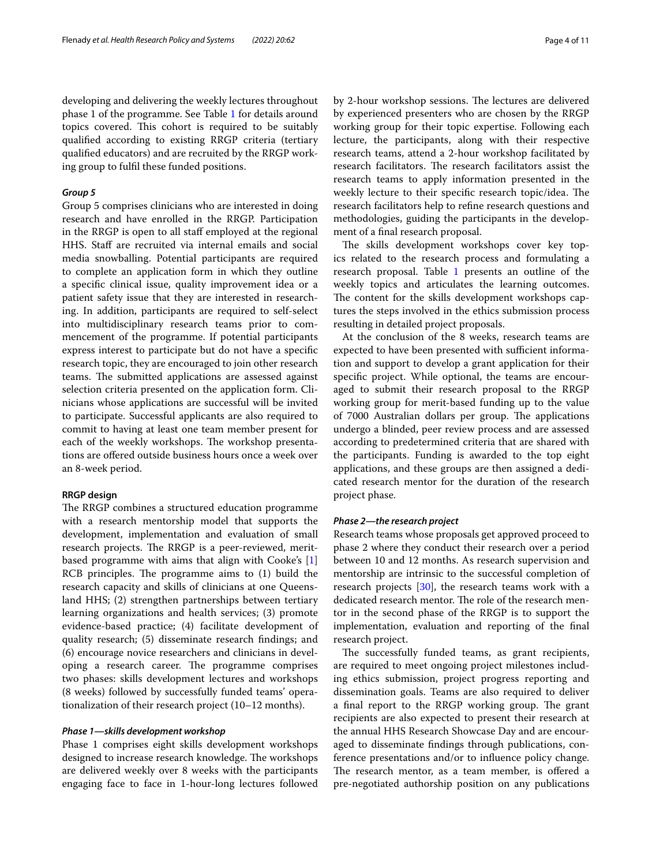developing and delivering the weekly lectures throughout phase 1 of the programme. See Table [1](#page-4-0) for details around topics covered. This cohort is required to be suitably qualifed according to existing RRGP criteria (tertiary qualifed educators) and are recruited by the RRGP working group to fulfl these funded positions.

## *Group 5*

Group 5 comprises clinicians who are interested in doing research and have enrolled in the RRGP. Participation in the RRGP is open to all staff employed at the regional HHS. Staff are recruited via internal emails and social media snowballing. Potential participants are required to complete an application form in which they outline a specifc clinical issue, quality improvement idea or a patient safety issue that they are interested in researching. In addition, participants are required to self-select into multidisciplinary research teams prior to commencement of the programme. If potential participants express interest to participate but do not have a specifc research topic, they are encouraged to join other research teams. The submitted applications are assessed against selection criteria presented on the application form. Clinicians whose applications are successful will be invited to participate. Successful applicants are also required to commit to having at least one team member present for each of the weekly workshops. The workshop presentations are ofered outside business hours once a week over an 8-week period.

#### **RRGP design**

The RRGP combines a structured education programme with a research mentorship model that supports the development, implementation and evaluation of small research projects. The RRGP is a peer-reviewed, meritbased programme with aims that align with Cooke's [\[1](#page-9-0)]  $RCB$  principles. The programme aims to  $(1)$  build the research capacity and skills of clinicians at one Queensland HHS; (2) strengthen partnerships between tertiary learning organizations and health services; (3) promote evidence-based practice; (4) facilitate development of quality research; (5) disseminate research fndings; and (6) encourage novice researchers and clinicians in developing a research career. The programme comprises two phases: skills development lectures and workshops (8 weeks) followed by successfully funded teams' operationalization of their research project (10–12 months).

#### *Phase 1—skills development workshop*

Phase 1 comprises eight skills development workshops designed to increase research knowledge. The workshops are delivered weekly over 8 weeks with the participants engaging face to face in 1-hour-long lectures followed by 2-hour workshop sessions. The lectures are delivered by experienced presenters who are chosen by the RRGP working group for their topic expertise. Following each lecture, the participants, along with their respective research teams, attend a 2-hour workshop facilitated by research facilitators. The research facilitators assist the research teams to apply information presented in the weekly lecture to their specific research topic/idea. The research facilitators help to refne research questions and methodologies, guiding the participants in the development of a fnal research proposal.

The skills development workshops cover key topics related to the research process and formulating a research proposal. Table [1](#page-4-0) presents an outline of the weekly topics and articulates the learning outcomes. The content for the skills development workshops captures the steps involved in the ethics submission process resulting in detailed project proposals.

At the conclusion of the 8 weeks, research teams are expected to have been presented with sufficient information and support to develop a grant application for their specifc project. While optional, the teams are encouraged to submit their research proposal to the RRGP working group for merit-based funding up to the value of 7000 Australian dollars per group. The applications undergo a blinded, peer review process and are assessed according to predetermined criteria that are shared with the participants. Funding is awarded to the top eight applications, and these groups are then assigned a dedicated research mentor for the duration of the research project phase.

#### *Phase 2—the research project*

Research teams whose proposals get approved proceed to phase 2 where they conduct their research over a period between 10 and 12 months. As research supervision and mentorship are intrinsic to the successful completion of research projects [[30](#page-10-27)], the research teams work with a dedicated research mentor. The role of the research mentor in the second phase of the RRGP is to support the implementation, evaluation and reporting of the fnal research project.

The successfully funded teams, as grant recipients, are required to meet ongoing project milestones including ethics submission, project progress reporting and dissemination goals. Teams are also required to deliver a final report to the RRGP working group. The grant recipients are also expected to present their research at the annual HHS Research Showcase Day and are encouraged to disseminate fndings through publications, conference presentations and/or to infuence policy change. The research mentor, as a team member, is offered a pre-negotiated authorship position on any publications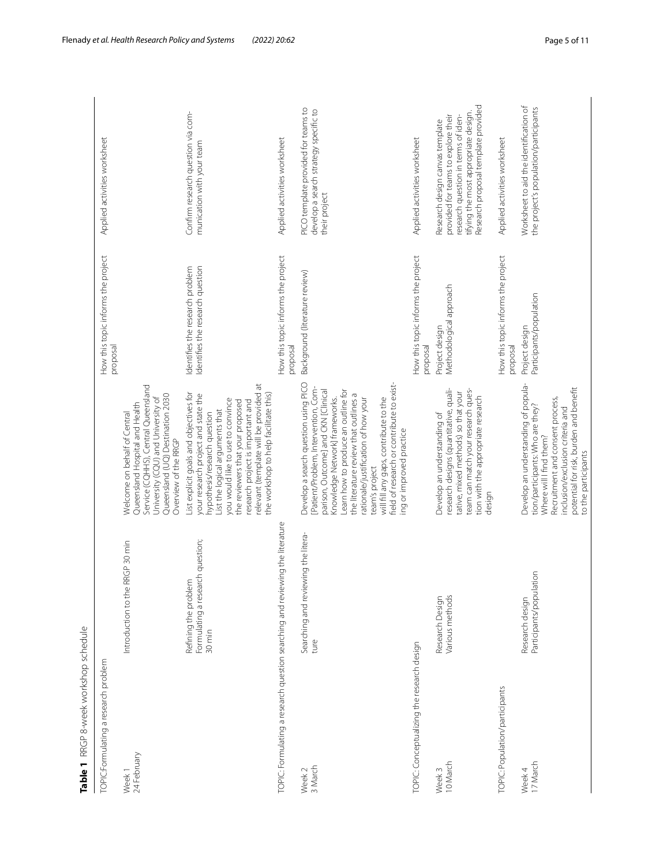<span id="page-4-0"></span>

| Table 1 RRGP 8-week workshop schedule             |                                                                               |                                                                                                                                                                                                                                                                                                                                                                                                                  |                                                                     |                                                                                                                                                                                              |
|---------------------------------------------------|-------------------------------------------------------------------------------|------------------------------------------------------------------------------------------------------------------------------------------------------------------------------------------------------------------------------------------------------------------------------------------------------------------------------------------------------------------------------------------------------------------|---------------------------------------------------------------------|----------------------------------------------------------------------------------------------------------------------------------------------------------------------------------------------|
| TOPIC:Formulating a research problem              |                                                                               |                                                                                                                                                                                                                                                                                                                                                                                                                  | How this topic informs the project<br>proposal                      | Applied activities worksheet                                                                                                                                                                 |
| Week 1<br>24 February                             | RRGP 30 min<br>Introduction to the                                            | Service (CQHHS), Central Queensland<br>Queensland (UQ) Destination 2030<br>University (CQU) and University of<br>Queensland Hospital and Health<br>Welcome on behalf of Central<br>Overview of the RRGP                                                                                                                                                                                                          |                                                                     |                                                                                                                                                                                              |
|                                                   | rch question;<br>Refining the problem<br>Formulating a resear<br>30 min       | relevant (template will be provided at<br>List explicit goals and objectives for<br>the workshop to help facilitate this)<br>your research project and state the<br>you would like to use to convince<br>the reviewers that your proposed<br>research project is important and<br>List the logical arguments that<br>hypothesis/research question                                                                | Identifies the research question<br>Identifies the research problem | Confirm research question via com-<br>munication with your team                                                                                                                              |
|                                                   | TOPIC: Formulating a research question searching and reviewing the literature |                                                                                                                                                                                                                                                                                                                                                                                                                  | How this topic informs the project<br>proposal                      | Applied activities worksheet                                                                                                                                                                 |
| 3 March<br>Week 2                                 | Searching and reviewing the litera-<br>ture                                   | Develop a search question using PICO<br>field of research or contribute to exist-<br>[Patient/Problem, Intervention, Com-<br>parison, Outcome] and CKN [Clinical<br>Learn how to produce an outline for<br>the literature review that outlines a<br>will fill any gaps, contribute to the<br>rationale/justification of how your<br>Knowledge Network] frameworks.<br>ing or improved practice<br>team's project | Background (literature review)                                      | PICO template provided for teams to<br>develop a search strategy specific to<br>their project                                                                                                |
| <b>TOPIC:</b> Conceptualizing the research design |                                                                               |                                                                                                                                                                                                                                                                                                                                                                                                                  | How this topic informs the project<br>proposal                      | Applied activities worksheet                                                                                                                                                                 |
| 10 March<br>Week 3                                | Various methods<br>Research Design                                            | research designs (quantitative, quali-<br>team can match your research ques-<br>tative, mixed methods) so that your<br>tion with the appropriate research<br>Develop an understanding of<br>design                                                                                                                                                                                                               | Methodological approach<br>Project design                           | Research proposal template provided<br>tifying the most appropriate design.<br>research question in terms of iden-<br>provided for teams to explore their<br>Research design canvas template |
| <b>TOPIC:</b> Population/participants             |                                                                               |                                                                                                                                                                                                                                                                                                                                                                                                                  | How this topic informs the project<br>proposal                      | Applied activities worksheet                                                                                                                                                                 |
| Week 4<br>17 March                                | Participants/population<br>Research design                                    | Develop an understanding of popula-<br>potential for risk, burden and benefit<br>Recruitment and consent process,<br>tion/participants: Who are they?<br>inclusion/exclusion criteria and<br>Where will I find them?<br>to the participants                                                                                                                                                                      | Participants/population<br>Project design                           | Worksheet to aid the identification of<br>the project's population/participants                                                                                                              |
|                                                   |                                                                               |                                                                                                                                                                                                                                                                                                                                                                                                                  |                                                                     |                                                                                                                                                                                              |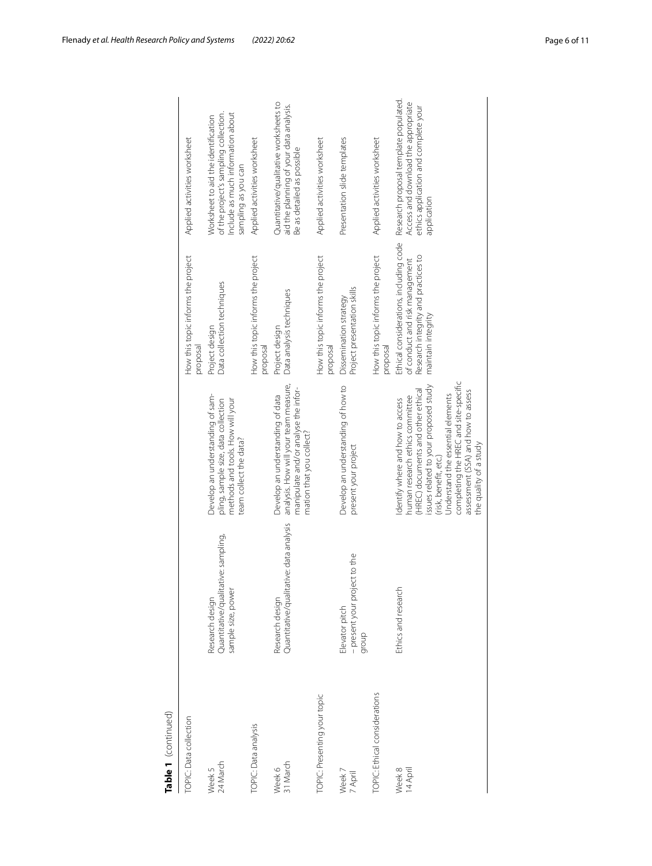| Table 1 (continued)           |                                                                              |                                                                                                                                                                                                                                                                                                                           |                                                                                                                                       |                                                                                                                                          |
|-------------------------------|------------------------------------------------------------------------------|---------------------------------------------------------------------------------------------------------------------------------------------------------------------------------------------------------------------------------------------------------------------------------------------------------------------------|---------------------------------------------------------------------------------------------------------------------------------------|------------------------------------------------------------------------------------------------------------------------------------------|
| TOPIC: Data collection        |                                                                              |                                                                                                                                                                                                                                                                                                                           | How this topic informs the project<br>proposal                                                                                        | Applied activities worksheet                                                                                                             |
| Week 5<br>24 March            | Quantitative/qualitative: sampling,<br>sample size, power<br>Research design | Develop an understanding of sam-<br>methods and tools. How will your<br>pling, sample size, data collection<br>team collect the data?                                                                                                                                                                                     | Data collection techniques<br>Project design                                                                                          | of the project's sampling collection.<br>Include as much information about<br>Worksheet to aid the identification<br>sampling as you can |
| <b>TOPIC</b> : Data analysis  |                                                                              |                                                                                                                                                                                                                                                                                                                           | How this topic informs the project<br>proposal                                                                                        | Applied activities worksheet                                                                                                             |
| 31 March<br>Week 6            | Quantitative/qualitative: data analysis<br>Research design                   | analysis. How will your team measure,<br>manipulate and/or analyse the infor-<br>Develop an understanding of data<br>mation that you collect?                                                                                                                                                                             | Data analysis techniques<br>Project design                                                                                            | Quantitative/qualitative worksheets to<br>aid the planning of your data analysis.<br>Be as detailed as possible                          |
| TOPIC: Presenting your topic  |                                                                              |                                                                                                                                                                                                                                                                                                                           | How this topic informs the project<br>proposal                                                                                        | Applied activities worksheet                                                                                                             |
| Week 7<br><sup>7</sup> April  | - present your project to the<br>Elevator pitch<br>dronb                     | Develop an understanding of how to<br>present your project                                                                                                                                                                                                                                                                | Project presentation skills<br>Dissemination strategy                                                                                 | Presentation slide templates                                                                                                             |
| TOPIC: Ethical considerations |                                                                              |                                                                                                                                                                                                                                                                                                                           | How this topic informs the project<br>proposal                                                                                        | Applied activities worksheet                                                                                                             |
| 14 April<br>Week 8            | Ethics and research                                                          | completing the HREC and site-specific<br>issues related to your proposed study<br>(HREC) documents and other ethical<br>assessment (SSA) and how to assess<br>Understand the essential elements<br>human research ethics committee<br>Identify where and how to access<br>the quality of a study<br>(risk, benefit, etc.) | Ethical considerations, including code<br>Research integrity and practices to<br>of conduct and risk management<br>maintain integrity | Research proposal template populated.<br>Access and download the appropriate<br>ethics application and complete your<br>application      |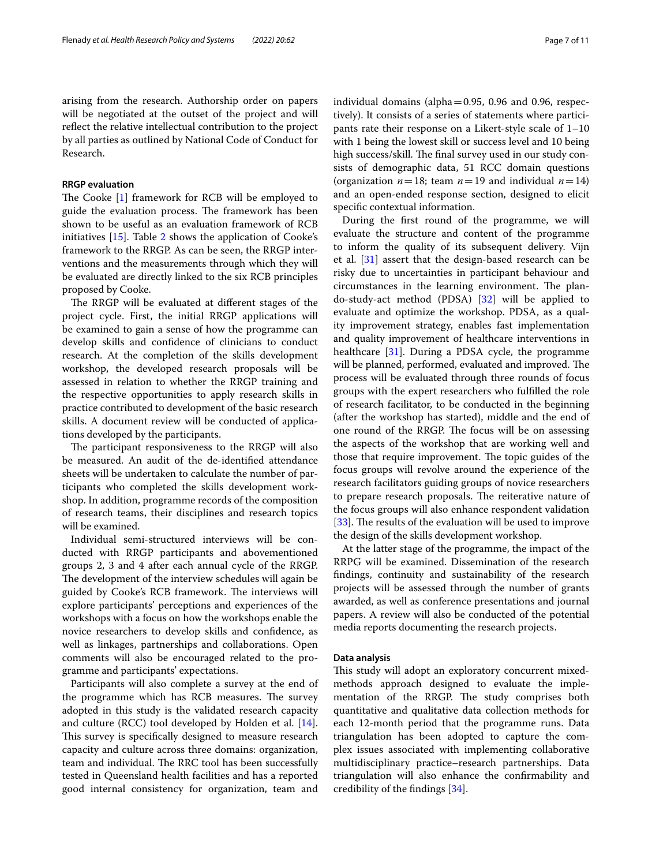arising from the research. Authorship order on papers will be negotiated at the outset of the project and will refect the relative intellectual contribution to the project by all parties as outlined by National Code of Conduct for Research.

## **RRGP evaluation**

The Cooke  $[1]$  $[1]$  framework for RCB will be employed to guide the evaluation process. The framework has been shown to be useful as an evaluation framework of RCB initiatives [[15\]](#page-10-13). Table [2](#page-7-0) shows the application of Cooke's framework to the RRGP. As can be seen, the RRGP interventions and the measurements through which they will be evaluated are directly linked to the six RCB principles proposed by Cooke.

The RRGP will be evaluated at different stages of the project cycle. First, the initial RRGP applications will be examined to gain a sense of how the programme can develop skills and confdence of clinicians to conduct research. At the completion of the skills development workshop, the developed research proposals will be assessed in relation to whether the RRGP training and the respective opportunities to apply research skills in practice contributed to development of the basic research skills. A document review will be conducted of applications developed by the participants.

The participant responsiveness to the RRGP will also be measured. An audit of the de-identifed attendance sheets will be undertaken to calculate the number of participants who completed the skills development workshop. In addition, programme records of the composition of research teams, their disciplines and research topics will be examined.

Individual semi-structured interviews will be conducted with RRGP participants and abovementioned groups 2, 3 and 4 after each annual cycle of the RRGP. The development of the interview schedules will again be guided by Cooke's RCB framework. The interviews will explore participants' perceptions and experiences of the workshops with a focus on how the workshops enable the novice researchers to develop skills and confdence, as well as linkages, partnerships and collaborations. Open comments will also be encouraged related to the programme and participants' expectations.

Participants will also complete a survey at the end of the programme which has RCB measures. The survey adopted in this study is the validated research capacity and culture (RCC) tool developed by Holden et al. [\[14](#page-10-12)]. This survey is specifically designed to measure research capacity and culture across three domains: organization, team and individual. The RRC tool has been successfully tested in Queensland health facilities and has a reported good internal consistency for organization, team and individual domains (alpha $=0.95$ , 0.96 and 0.96, respectively). It consists of a series of statements where participants rate their response on a Likert-style scale of 1–10 with 1 being the lowest skill or success level and 10 being high success/skill. The final survey used in our study consists of demographic data, 51 RCC domain questions (organization  $n=18$ ; team  $n=19$  and individual  $n=14$ ) and an open-ended response section, designed to elicit specifc contextual information.

During the frst round of the programme, we will evaluate the structure and content of the programme to inform the quality of its subsequent delivery. Vijn et al. [[31\]](#page-10-28) assert that the design-based research can be risky due to uncertainties in participant behaviour and circumstances in the learning environment. The plando-study-act method (PDSA) [\[32\]](#page-10-29) will be applied to evaluate and optimize the workshop. PDSA, as a quality improvement strategy, enables fast implementation and quality improvement of healthcare interventions in healthcare [[31\]](#page-10-28). During a PDSA cycle, the programme will be planned, performed, evaluated and improved. The process will be evaluated through three rounds of focus groups with the expert researchers who fulflled the role of research facilitator, to be conducted in the beginning (after the workshop has started), middle and the end of one round of the RRGP. The focus will be on assessing the aspects of the workshop that are working well and those that require improvement. The topic guides of the focus groups will revolve around the experience of the research facilitators guiding groups of novice researchers to prepare research proposals. The reiterative nature of the focus groups will also enhance respondent validation [ $33$ ]. The results of the evaluation will be used to improve the design of the skills development workshop.

At the latter stage of the programme, the impact of the RRPG will be examined. Dissemination of the research fndings, continuity and sustainability of the research projects will be assessed through the number of grants awarded, as well as conference presentations and journal papers. A review will also be conducted of the potential media reports documenting the research projects.

## **Data analysis**

This study will adopt an exploratory concurrent mixedmethods approach designed to evaluate the implementation of the RRGP. The study comprises both quantitative and qualitative data collection methods for each 12-month period that the programme runs. Data triangulation has been adopted to capture the complex issues associated with implementing collaborative multidisciplinary practice–research partnerships. Data triangulation will also enhance the confrmability and credibility of the fndings [\[34](#page-10-31)].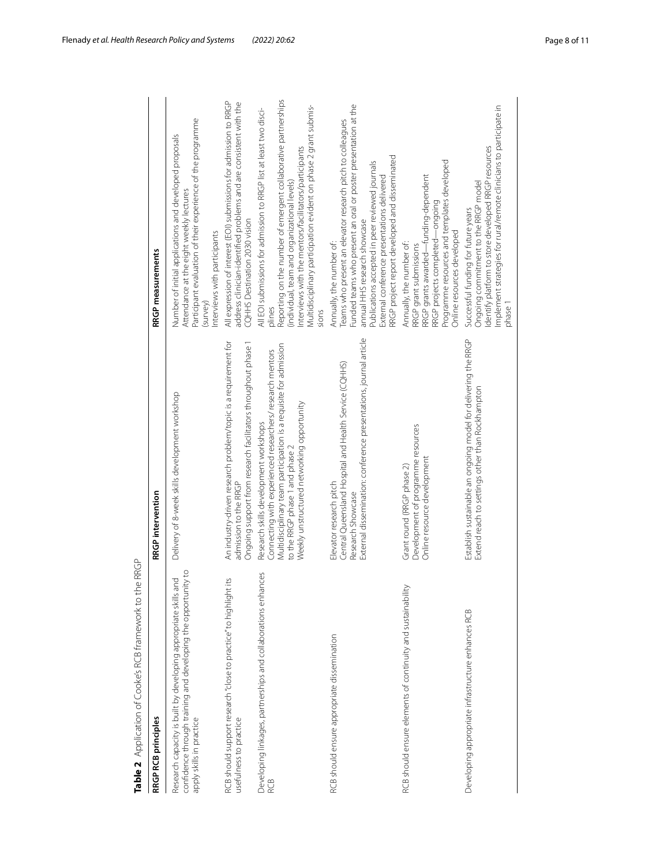| RRGP RCB principles                                                                                                                                          | RRGP intervention                                                                                                                                                                                                                                        | RRGP measurements                                                                                                                                                                                                                                                                                                                            |
|--------------------------------------------------------------------------------------------------------------------------------------------------------------|----------------------------------------------------------------------------------------------------------------------------------------------------------------------------------------------------------------------------------------------------------|----------------------------------------------------------------------------------------------------------------------------------------------------------------------------------------------------------------------------------------------------------------------------------------------------------------------------------------------|
| confidence through training and developing the opportunity to<br>Research capacity is built by developing appropriate skills and<br>apply skills in practice | Delivery of 8-week skills development workshop                                                                                                                                                                                                           | Participant evaluation of their experience of the programme<br>Number of initial applications and developed proposals<br>Attendance at the eight weekly lectures<br>nterviews with participants<br>(survey)                                                                                                                                  |
| RCB should support research "close to practice" to highlight its<br>usefulness to practice                                                                   | An industry-driven research problem/topic is a requirement for<br>Ongoing support from research facilitators throughout phase 1<br>admission to the RRGP                                                                                                 | All expression of interest (EOI) submissions for admission to RRGP<br>address clinician-identified problems and are consistent with the<br>CQHHS Destination 2030 vision                                                                                                                                                                     |
| Developing linkages, partnerships and collaborations enhances<br>RCB                                                                                         | Multidisciplinary team participation is a requisite for admission<br>Connecting with experienced researchers/ research mentors<br>Weekly unstructured networking opportunity<br>Research skills development workshops<br>to the RRGP phase 1 and phase 2 | Reporting on the number of emergent collaborative partnerships<br>Multidisciplinary participation evident on phase 2 grant submis-<br>All EOI submissions for admission to RRGP list at least two disci-<br>nterviews with the mentors/facilitators/participants<br>(individual, team and organizational levels)<br>plines<br>sions          |
| RCB should ensure appropriate dissemination                                                                                                                  | External dissemination: conference presentations, journal article<br>Central Queensland Hospital and Health Service (CQHHS)<br>Elevator research pitch<br>Research Showcase                                                                              | Funded teams who present an oral or poster presentation at the<br>Teams who present an elevator research pitch to colleagues<br>RRGP project report developed and disseminated<br>Publications accepted in peer reviewed journals<br>External conference presentations delivered<br>annual HHS research showcase<br>Annually, the number of: |
| RCB should ensure elements of continuity and sustainability                                                                                                  | Development of programme resources<br>Online resource development<br>Grant round (RRGP phase 2)                                                                                                                                                          | Programme resources and templates developed<br>RRGP grants awarded—funding-dependent<br>RRGP projects completed—ongoing<br>Online resources developed<br>Annually, the number of:<br>RRGP grant submissions                                                                                                                                  |
| Developing appropriate infrastructure enhances RCB                                                                                                           | Establish sustainable an ongoing model for delivering the RRGP<br>Extend reach to settings other than Rockhampton                                                                                                                                        | Implement strategies for rural/remote clinicians to participate in<br>Identify platform to store developed RRGP resources<br>Ongoing commitment to the RRGP model<br>Successful funding for future years<br>ohase 1                                                                                                                          |
|                                                                                                                                                              |                                                                                                                                                                                                                                                          |                                                                                                                                                                                                                                                                                                                                              |

<span id="page-7-0"></span>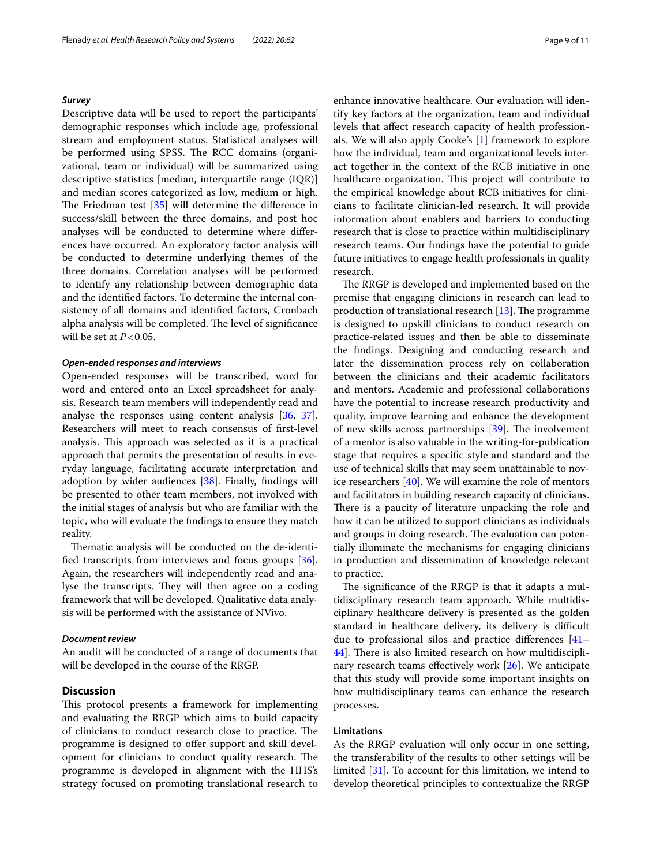#### *Survey*

Descriptive data will be used to report the participants' demographic responses which include age, professional stream and employment status. Statistical analyses will be performed using SPSS. The RCC domains (organizational, team or individual) will be summarized using descriptive statistics [median, interquartile range (IQR)] and median scores categorized as low, medium or high. The Friedman test  $[35]$  $[35]$  $[35]$  will determine the difference in success/skill between the three domains, and post hoc analyses will be conducted to determine where diferences have occurred. An exploratory factor analysis will be conducted to determine underlying themes of the three domains. Correlation analyses will be performed to identify any relationship between demographic data and the identifed factors. To determine the internal consistency of all domains and identifed factors, Cronbach alpha analysis will be completed. The level of significance will be set at  $P < 0.05$ .

## *Open‑ended responses and interviews*

Open-ended responses will be transcribed, word for word and entered onto an Excel spreadsheet for analysis. Research team members will independently read and analyse the responses using content analysis [\[36](#page-10-33), [37](#page-10-34)]. Researchers will meet to reach consensus of frst-level analysis. This approach was selected as it is a practical approach that permits the presentation of results in everyday language, facilitating accurate interpretation and adoption by wider audiences [\[38](#page-10-35)]. Finally, fndings will be presented to other team members, not involved with the initial stages of analysis but who are familiar with the topic, who will evaluate the fndings to ensure they match reality.

Thematic analysis will be conducted on the de-identifed transcripts from interviews and focus groups [\[36](#page-10-33)]. Again, the researchers will independently read and analyse the transcripts. They will then agree on a coding framework that will be developed. Qualitative data analysis will be performed with the assistance of NVivo.

## *Document review*

An audit will be conducted of a range of documents that will be developed in the course of the RRGP.

## **Discussion**

This protocol presents a framework for implementing and evaluating the RRGP which aims to build capacity of clinicians to conduct research close to practice. The programme is designed to offer support and skill development for clinicians to conduct quality research. The programme is developed in alignment with the HHS's strategy focused on promoting translational research to enhance innovative healthcare. Our evaluation will identify key factors at the organization, team and individual levels that afect research capacity of health professionals. We will also apply Cooke's [[1\]](#page-9-0) framework to explore how the individual, team and organizational levels interact together in the context of the RCB initiative in one healthcare organization. This project will contribute to the empirical knowledge about RCB initiatives for clinicians to facilitate clinician-led research. It will provide information about enablers and barriers to conducting research that is close to practice within multidisciplinary research teams. Our fndings have the potential to guide future initiatives to engage health professionals in quality research.

The RRGP is developed and implemented based on the premise that engaging clinicians in research can lead to production of translational research  $[13]$  $[13]$ . The programme is designed to upskill clinicians to conduct research on practice-related issues and then be able to disseminate the fndings. Designing and conducting research and later the dissemination process rely on collaboration between the clinicians and their academic facilitators and mentors. Academic and professional collaborations have the potential to increase research productivity and quality, improve learning and enhance the development of new skills across partnerships  $[39]$  $[39]$  $[39]$ . The involvement of a mentor is also valuable in the writing-for-publication stage that requires a specifc style and standard and the use of technical skills that may seem unattainable to novice researchers [\[40\]](#page-10-37). We will examine the role of mentors and facilitators in building research capacity of clinicians. There is a paucity of literature unpacking the role and how it can be utilized to support clinicians as individuals and groups in doing research. The evaluation can potentially illuminate the mechanisms for engaging clinicians in production and dissemination of knowledge relevant to practice.

The significance of the RRGP is that it adapts a multidisciplinary research team approach. While multidisciplinary healthcare delivery is presented as the golden standard in healthcare delivery, its delivery is difficult due to professional silos and practice diferences [[41–](#page-10-38) [44\]](#page-10-39). There is also limited research on how multidiscipli-nary research teams effectively work [[26\]](#page-10-23). We anticipate that this study will provide some important insights on how multidisciplinary teams can enhance the research processes.

#### **Limitations**

As the RRGP evaluation will only occur in one setting, the transferability of the results to other settings will be limited [\[31\]](#page-10-28). To account for this limitation, we intend to develop theoretical principles to contextualize the RRGP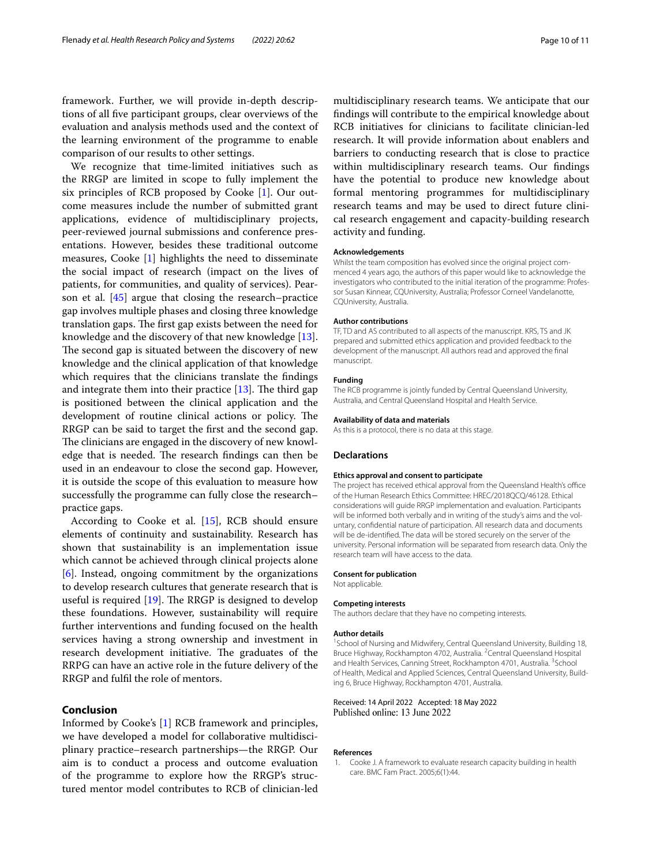framework. Further, we will provide in-depth descriptions of all fve participant groups, clear overviews of the evaluation and analysis methods used and the context of the learning environment of the programme to enable comparison of our results to other settings.

We recognize that time-limited initiatives such as the RRGP are limited in scope to fully implement the six principles of RCB proposed by Cooke [[1\]](#page-9-0). Our outcome measures include the number of submitted grant applications, evidence of multidisciplinary projects, peer-reviewed journal submissions and conference presentations. However, besides these traditional outcome measures, Cooke [\[1](#page-9-0)] highlights the need to disseminate the social impact of research (impact on the lives of patients, for communities, and quality of services). Pear-son et al. [\[45](#page-10-40)] argue that closing the research–practice gap involves multiple phases and closing three knowledge translation gaps. The first gap exists between the need for knowledge and the discovery of that new knowledge [\[13](#page-10-10)]. The second gap is situated between the discovery of new knowledge and the clinical application of that knowledge which requires that the clinicians translate the fndings and integrate them into their practice  $[13]$  $[13]$ . The third gap is positioned between the clinical application and the development of routine clinical actions or policy. The RRGP can be said to target the frst and the second gap. The clinicians are engaged in the discovery of new knowledge that is needed. The research findings can then be used in an endeavour to close the second gap. However, it is outside the scope of this evaluation to measure how successfully the programme can fully close the research– practice gaps.

According to Cooke et al. [[15\]](#page-10-13), RCB should ensure elements of continuity and sustainability. Research has shown that sustainability is an implementation issue which cannot be achieved through clinical projects alone [[6\]](#page-10-3). Instead, ongoing commitment by the organizations to develop research cultures that generate research that is useful is required  $[19]$  $[19]$  $[19]$ . The RRGP is designed to develop these foundations. However, sustainability will require further interventions and funding focused on the health services having a strong ownership and investment in research development initiative. The graduates of the RRPG can have an active role in the future delivery of the RRGP and fulfl the role of mentors.

## **Conclusion**

Informed by Cooke's [[1\]](#page-9-0) RCB framework and principles, we have developed a model for collaborative multidisciplinary practice–research partnerships—the RRGP. Our aim is to conduct a process and outcome evaluation of the programme to explore how the RRGP's structured mentor model contributes to RCB of clinician-led

multidisciplinary research teams. We anticipate that our fndings will contribute to the empirical knowledge about RCB initiatives for clinicians to facilitate clinician-led research. It will provide information about enablers and barriers to conducting research that is close to practice within multidisciplinary research teams. Our fndings have the potential to produce new knowledge about formal mentoring programmes for multidisciplinary research teams and may be used to direct future clinical research engagement and capacity-building research activity and funding.

#### **Acknowledgements**

Whilst the team composition has evolved since the original project commenced 4 years ago, the authors of this paper would like to acknowledge the investigators who contributed to the initial iteration of the programme: Professor Susan Kinnear, CQUniversity, Australia; Professor Corneel Vandelanotte, CQUniversity, Australia.

#### **Author contributions**

TF, TD and AS contributed to all aspects of the manuscript. KRS, TS and JK prepared and submitted ethics application and provided feedback to the development of the manuscript. All authors read and approved the fnal manuscript.

#### **Funding**

The RCB programme is jointly funded by Central Queensland University, Australia, and Central Queensland Hospital and Health Service.

#### **Availability of data and materials**

As this is a protocol, there is no data at this stage.

#### **Declarations**

#### **Ethics approval and consent to participate**

The project has received ethical approval from the Queensland Health's office of the Human Research Ethics Committee: HREC/2018QCQ/46128. Ethical considerations will guide RRGP implementation and evaluation. Participants will be informed both verbally and in writing of the study's aims and the voluntary, confdential nature of participation. All research data and documents will be de-identifed. The data will be stored securely on the server of the university. Personal information will be separated from research data. Only the research team will have access to the data.

#### **Consent for publication**

Not applicable.

#### **Competing interests**

The authors declare that they have no competing interests.

#### **Author details**

<sup>1</sup> School of Nursing and Midwifery, Central Queensland University, Building 18, Bruce Highway, Rockhampton 4702, Australia. <sup>2</sup> Central Queensland Hospital and Health Services, Canning Street, Rockhampton 4701, Australia. <sup>3</sup>School of Health, Medical and Applied Sciences, Central Queensland University, Building 6, Bruce Highway, Rockhampton 4701, Australia.

#### Received: 14 April 2022 Accepted: 18 May 2022 Published online: 13 June 2022

#### **References**

<span id="page-9-0"></span>1. Cooke J. A framework to evaluate research capacity building in health care. BMC Fam Pract. 2005;6(1):44.